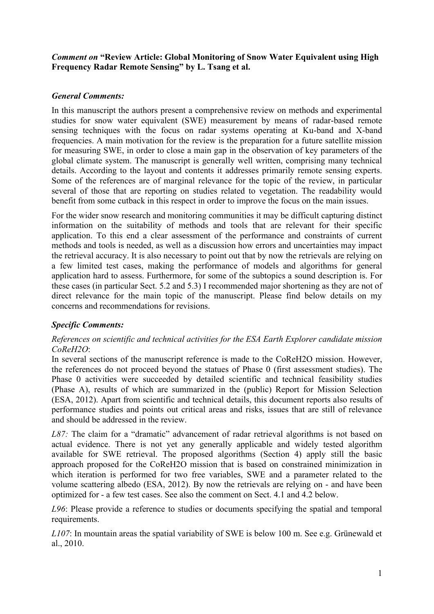### *Comment on* **"Review Article: Global Monitoring of Snow Water Equivalent using High Frequency Radar Remote Sensing" by L. Tsang et al.**

## *General Comments:*

In this manuscript the authors present a comprehensive review on methods and experimental studies for snow water equivalent (SWE) measurement by means of radar-based remote sensing techniques with the focus on radar systems operating at Ku-band and X-band frequencies. A main motivation for the review is the preparation for a future satellite mission for measuring SWE, in order to close a main gap in the observation of key parameters of the global climate system. The manuscript is generally well written, comprising many technical details. According to the layout and contents it addresses primarily remote sensing experts. Some of the references are of marginal relevance for the topic of the review, in particular several of those that are reporting on studies related to vegetation. The readability would benefit from some cutback in this respect in order to improve the focus on the main issues.

For the wider snow research and monitoring communities it may be difficult capturing distinct information on the suitability of methods and tools that are relevant for their specific application. To this end a clear assessment of the performance and constraints of current methods and tools is needed, as well as a discussion how errors and uncertainties may impact the retrieval accuracy. It is also necessary to point out that by now the retrievals are relying on a few limited test cases, making the performance of models and algorithms for general application hard to assess. Furthermore, for some of the subtopics a sound description is. For these cases (in particular Sect. 5.2 and 5.3) I recommended major shortening as they are not of direct relevance for the main topic of the manuscript. Please find below details on my concerns and recommendations for revisions.

# *Specific Comments:*

### *References on scientific and technical activities for the ESA Earth Explorer candidate mission CoReH2O*:

In several sections of the manuscript reference is made to the CoReH2O mission. However, the references do not proceed beyond the statues of Phase 0 (first assessment studies). The Phase 0 activities were succeeded by detailed scientific and technical feasibility studies (Phase A), results of which are summarized in the (public) Report for Mission Selection (ESA, 2012). Apart from scientific and technical details, this document reports also results of performance studies and points out critical areas and risks, issues that are still of relevance and should be addressed in the review.

*L87*: The claim for a "dramatic" advancement of radar retrieval algorithms is not based on actual evidence. There is not yet any generally applicable and widely tested algorithm available for SWE retrieval. The proposed algorithms (Section 4) apply still the basic approach proposed for the CoReH2O mission that is based on constrained minimization in which iteration is performed for two free variables, SWE and a parameter related to the volume scattering albedo (ESA, 2012). By now the retrievals are relying on - and have been optimized for - a few test cases. See also the comment on Sect. 4.1 and 4.2 below.

*L96*: Please provide a reference to studies or documents specifying the spatial and temporal requirements.

*L107*: In mountain areas the spatial variability of SWE is below 100 m. See e.g. Grünewald et al., 2010.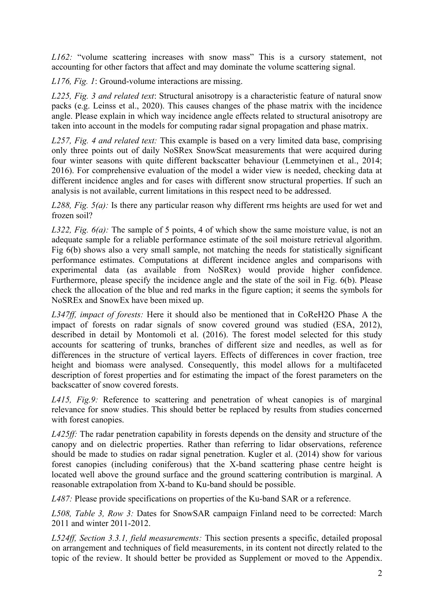*L162:* "volume scattering increases with snow mass" This is a cursory statement, not accounting for other factors that affect and may dominate the volume scattering signal.

*L176, Fig. 1*: Ground-volume interactions are missing.

*L225, Fig. 3 and related text*: Structural anisotropy is a characteristic feature of natural snow packs (e.g. Leinss et al., 2020). This causes changes of the phase matrix with the incidence angle. Please explain in which way incidence angle effects related to structural anisotropy are taken into account in the models for computing radar signal propagation and phase matrix.

*L257, Fig. 4 and related text:* This example is based on a very limited data base, comprising only three points out of daily NoSRex SnowScat measurements that were acquired during four winter seasons with quite different backscatter behaviour (Lemmetyinen et al., 2014; 2016). For comprehensive evaluation of the model a wider view is needed, checking data at different incidence angles and for cases with different snow structural properties. If such an analysis is not available, current limitations in this respect need to be addressed.

*L288, Fig. 5(a):* Is there any particular reason why different rms heights are used for wet and frozen soil?

*L322, Fig. 6(a):* The sample of 5 points, 4 of which show the same moisture value, is not an adequate sample for a reliable performance estimate of the soil moisture retrieval algorithm. Fig 6(b) shows also a very small sample, not matching the needs for statistically significant performance estimates. Computations at different incidence angles and comparisons with experimental data (as available from NoSRex) would provide higher confidence. Furthermore, please specify the incidence angle and the state of the soil in Fig. 6(b). Please check the allocation of the blue and red marks in the figure caption; it seems the symbols for NoSREx and SnowEx have been mixed up.

*L347ff, impact of forests:* Here it should also be mentioned that in CoReH2O Phase A the impact of forests on radar signals of snow covered ground was studied (ESA, 2012), described in detail by Montomoli et al. (2016). The forest model selected for this study accounts for scattering of trunks, branches of different size and needles, as well as for differences in the structure of vertical layers. Effects of differences in cover fraction, tree height and biomass were analysed. Consequently, this model allows for a multifaceted description of forest properties and for estimating the impact of the forest parameters on the backscatter of snow covered forests.

*L415, Fig.9:* Reference to scattering and penetration of wheat canopies is of marginal relevance for snow studies. This should better be replaced by results from studies concerned with forest canopies.

*L425ff:* The radar penetration capability in forests depends on the density and structure of the canopy and on dielectric properties. Rather than referring to lidar observations, reference should be made to studies on radar signal penetration. Kugler et al. (2014) show for various forest canopies (including coniferous) that the X-band scattering phase centre height is located well above the ground surface and the ground scattering contribution is marginal. A reasonable extrapolation from X-band to Ku-band should be possible.

*L487:* Please provide specifications on properties of the Ku-band SAR or a reference.

*L508, Table 3, Row 3:* Dates for SnowSAR campaign Finland need to be corrected: March 2011 and winter 2011-2012.

*L524ff, Section 3.3.1, field measurements:* This section presents a specific, detailed proposal on arrangement and techniques of field measurements, in its content not directly related to the topic of the review. It should better be provided as Supplement or moved to the Appendix.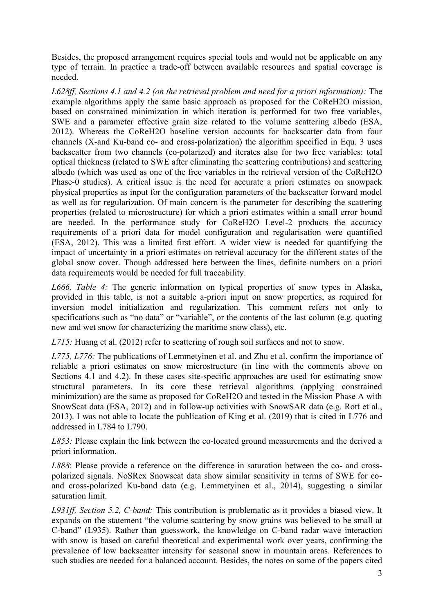Besides, the proposed arrangement requires special tools and would not be applicable on any type of terrain. In practice a trade-off between available resources and spatial coverage is needed.

*L628ff, Sections 4.1 and 4.2 (on the retrieval problem and need for a priori information):* The example algorithms apply the same basic approach as proposed for the CoReH2O mission, based on constrained minimization in which iteration is performed for two free variables, SWE and a parameter effective grain size related to the volume scattering albedo (ESA, 2012). Whereas the CoReH2O baseline version accounts for backscatter data from four channels (X-and Ku-band co- and cross-polarization) the algorithm specified in Equ. 3 uses backscatter from two channels (co-polarized) and iterates also for two free variables: total optical thickness (related to SWE after eliminating the scattering contributions) and scattering albedo (which was used as one of the free variables in the retrieval version of the CoReH2O Phase-0 studies). A critical issue is the need for accurate a priori estimates on snowpack physical properties as input for the configuration parameters of the backscatter forward model as well as for regularization. Of main concern is the parameter for describing the scattering properties (related to microstructure) for which a priori estimates within a small error bound are needed. In the performance study for CoReH2O Level-2 products the accuracy requirements of a priori data for model configuration and regularisation were quantified (ESA, 2012). This was a limited first effort. A wider view is needed for quantifying the impact of uncertainty in a priori estimates on retrieval accuracy for the different states of the global snow cover. Though addressed here between the lines, definite numbers on a priori data requirements would be needed for full traceability.

*L666, Table 4:* The generic information on typical properties of snow types in Alaska, provided in this table, is not a suitable a-priori input on snow properties, as required for inversion model initialization and regularization. This comment refers not only to specifications such as "no data" or "variable", or the contents of the last column (e.g. quoting new and wet snow for characterizing the maritime snow class), etc.

*L715:* Huang et al. (2012) refer to scattering of rough soil surfaces and not to snow.

*L775, L776:* The publications of Lemmetyinen et al. and Zhu et al. confirm the importance of reliable a priori estimates on snow microstructure (in line with the comments above on Sections 4.1 and 4.2). In these cases site-specific approaches are used for estimating snow structural parameters. In its core these retrieval algorithms (applying constrained minimization) are the same as proposed for CoReH2O and tested in the Mission Phase A with SnowScat data (ESA, 2012) and in follow-up activities with SnowSAR data (e.g. Rott et al., 2013). I was not able to locate the publication of King et al. (2019) that is cited in L776 and addressed in L784 to L790.

*L853:* Please explain the link between the co-located ground measurements and the derived a priori information.

*L888*: Please provide a reference on the difference in saturation between the co- and crosspolarized signals. NoSRex Snowscat data show similar sensitivity in terms of SWE for coand cross-polarized Ku-band data (e.g. Lemmetyinen et al., 2014), suggesting a similar saturation limit.

*L931ff, Section 5.2, C-band:* This contribution is problematic as it provides a biased view. It expands on the statement "the volume scattering by snow grains was believed to be small at C-band" (L935). Rather than guesswork, the knowledge on C-band radar wave interaction with snow is based on careful theoretical and experimental work over years, confirming the prevalence of low backscatter intensity for seasonal snow in mountain areas. References to such studies are needed for a balanced account. Besides, the notes on some of the papers cited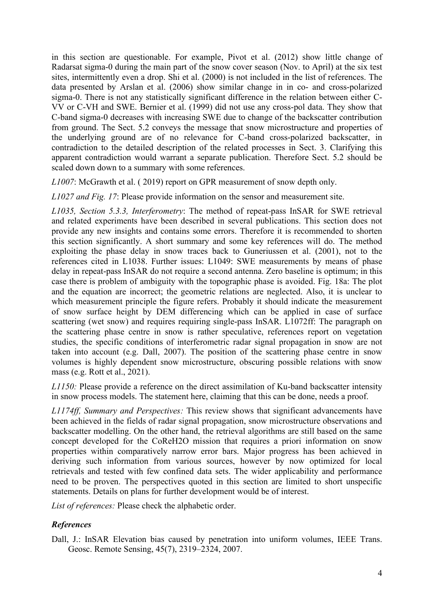in this section are questionable. For example, Pivot et al. (2012) show little change of Radarsat sigma-0 during the main part of the snow cover season (Nov. to April) at the six test sites, intermittently even a drop. Shi et al. (2000) is not included in the list of references. The data presented by Arslan et al. (2006) show similar change in in co- and cross-polarized sigma-0. There is not any statistically significant difference in the relation between either C-VV or C-VH and SWE. Bernier et al. (1999) did not use any cross-pol data. They show that C-band sigma-0 decreases with increasing SWE due to change of the backscatter contribution from ground. The Sect. 5.2 conveys the message that snow microstructure and properties of the underlying ground are of no relevance for C-band cross-polarized backscatter, in contradiction to the detailed description of the related processes in Sect. 3. Clarifying this apparent contradiction would warrant a separate publication. Therefore Sect. 5.2 should be scaled down down to a summary with some references.

*L1007*: McGrawth et al. ( 2019) report on GPR measurement of snow depth only.

*L1027 and Fig. 17*: Please provide information on the sensor and measurement site.

*L1035, Section 5.3.3, Interferometry*: The method of repeat-pass InSAR for SWE retrieval and related experiments have been described in several publications. This section does not provide any new insights and contains some errors. Therefore it is recommended to shorten this section significantly. A short summary and some key references will do. The method exploiting the phase delay in snow traces back to Guneriussen et al. (2001), not to the references cited in L1038. Further issues: L1049: SWE measurements by means of phase delay in repeat-pass InSAR do not require a second antenna. Zero baseline is optimum; in this case there is problem of ambiguity with the topographic phase is avoided. Fig. 18a: The plot and the equation are incorrect; the geometric relations are neglected. Also, it is unclear to which measurement principle the figure refers. Probably it should indicate the measurement of snow surface height by DEM differencing which can be applied in case of surface scattering (wet snow) and requires requiring single-pass InSAR. L1072ff: The paragraph on the scattering phase centre in snow is rather speculative, references report on vegetation studies, the specific conditions of interferometric radar signal propagation in snow are not taken into account (e.g. Dall, 2007). The position of the scattering phase centre in snow volumes is highly dependent snow microstructure, obscuring possible relations with snow mass (e.g. Rott et al., 2021).

*L1150:* Please provide a reference on the direct assimilation of Ku-band backscatter intensity in snow process models. The statement here, claiming that this can be done, needs a proof.

*L1174ff, Summary and Perspectives:* This review shows that significant advancements have been achieved in the fields of radar signal propagation, snow microstructure observations and backscatter modelling. On the other hand, the retrieval algorithms are still based on the same concept developed for the CoReH2O mission that requires a priori information on snow properties within comparatively narrow error bars. Major progress has been achieved in deriving such information from various sources, however by now optimized for local retrievals and tested with few confined data sets. The wider applicability and performance need to be proven. The perspectives quoted in this section are limited to short unspecific statements. Details on plans for further development would be of interest.

*List of references:* Please check the alphabetic order.

### *References*

Dall, J.: InSAR Elevation bias caused by penetration into uniform volumes, IEEE Trans. Geosc. Remote Sensing, 45(7), 2319–2324, 2007.